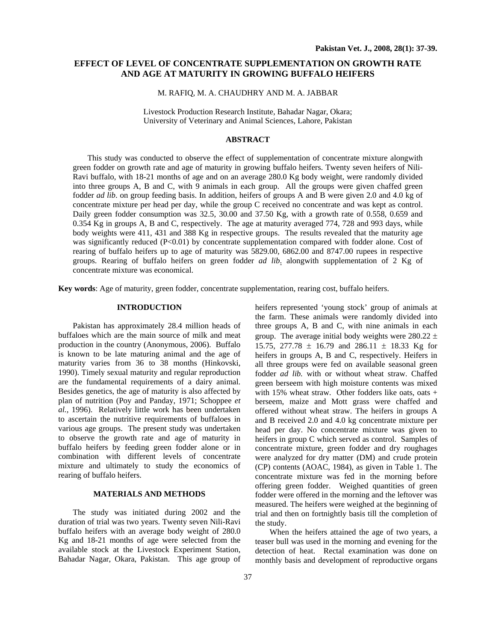## **EFFECT OF LEVEL OF CONCENTRATE SUPPLEMENTATION ON GROWTH RATE AND AGE AT MATURITY IN GROWING BUFFALO HEIFERS**

## M. RAFIQ, M. A. CHAUDHRY AND M. A. JABBAR

Livestock Production Research Institute, Bahadar Nagar, Okara; University of Veterinary and Animal Sciences, Lahore, Pakistan

## **ABSTRACT**

This study was conducted to observe the effect of supplementation of concentrate mixture alongwith green fodder on growth rate and age of maturity in growing buffalo heifers. Twenty seven heifers of Nili-Ravi buffalo, with 18-21 months of age and on an average 280.0 Kg body weight, were randomly divided into three groups A, B and C, with 9 animals in each group. All the groups were given chaffed green fodder *ad lib*. on group feeding basis. In addition, heifers of groups A and B were given 2.0 and 4.0 kg of concentrate mixture per head per day, while the group C received no concentrate and was kept as control. Daily green fodder consumption was 32.5, 30.00 and 37.50 Kg, with a growth rate of 0.558, 0.659 and 0.354 Kg in groups A, B and C, respectively. The age at maturity averaged 774, 728 and 993 days, while body weights were 411, 431 and 388 Kg in respective groups. The results revealed that the maturity age was significantly reduced (P<0.01) by concentrate supplementation compared with fodder alone. Cost of rearing of buffalo heifers up to age of maturity was 5829.00, 6862.00 and 8747.00 rupees in respective groups. Rearing of buffalo heifers on green fodder *ad lib*. alongwith supplementation of 2 Kg of concentrate mixture was economical.

**Key words**: Age of maturity, green fodder, concentrate supplementation, rearing cost, buffalo heifers.

## **INTRODUCTION**

Pakistan has approximately 28.4 million heads of buffaloes which are the main source of milk and meat production in the country (Anonymous, 2006). Buffalo is known to be late maturing animal and the age of maturity varies from 36 to 38 months (Hinkovski, 1990). Timely sexual maturity and regular reproduction are the fundamental requirements of a dairy animal. Besides genetics, the age of maturity is also affected by plan of nutrition (Poy and Panday, 1971; Schoppee *et al.,* 1996). Relatively little work has been undertaken to ascertain the nutritive requirements of buffaloes in various age groups. The present study was undertaken to observe the growth rate and age of maturity in buffalo heifers by feeding green fodder alone or in combination with different levels of concentrate mixture and ultimately to study the economics of rearing of buffalo heifers.

### **MATERIALS AND METHODS**

The study was initiated during 2002 and the duration of trial was two years. Twenty seven Nili-Ravi buffalo heifers with an average body weight of 280.0 Kg and 18-21 months of age were selected from the available stock at the Livestock Experiment Station, Bahadar Nagar, Okara, Pakistan. This age group of heifers represented 'young stock' group of animals at the farm. These animals were randomly divided into three groups A, B and C, with nine animals in each group. The average initial body weights were  $280.22 \pm$ 15.75, 277.78 ± 16.79 and 286.11 ± 18.33 Kg for heifers in groups A, B and C, respectively. Heifers in all three groups were fed on available seasonal green fodder *ad lib.* with or without wheat straw. Chaffed green berseem with high moisture contents was mixed with 15% wheat straw. Other fodders like oats, oats + berseem, maize and Mott grass were chaffed and offered without wheat straw. The heifers in groups A and B received 2.0 and 4.0 kg concentrate mixture per head per day. No concentrate mixture was given to heifers in group C which served as control. Samples of concentrate mixture, green fodder and dry roughages were analyzed for dry matter (DM) and crude protein (CP) contents (AOAC, 1984), as given in Table 1. The concentrate mixture was fed in the morning before offering green fodder. Weighed quantities of green fodder were offered in the morning and the leftover was measured. The heifers were weighed at the beginning of trial and then on fortnightly basis till the completion of the study.

When the heifers attained the age of two years, a teaser bull was used in the morning and evening for the detection of heat. Rectal examination was done on monthly basis and development of reproductive organs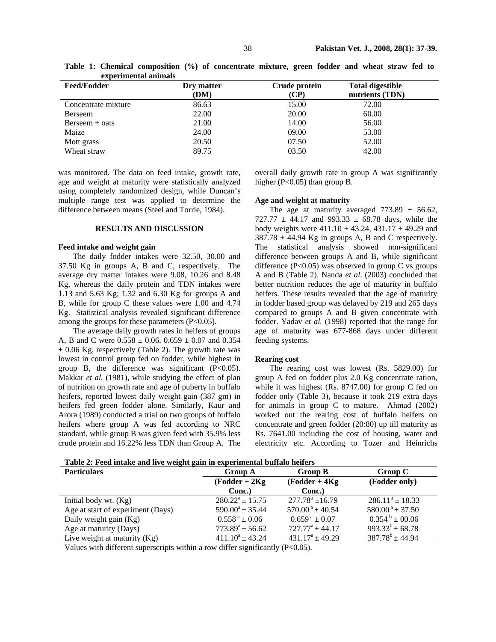| <b>Feed/Fodder</b>  | Dry matter | Crude protein | <b>Total digestible</b> |  |
|---------------------|------------|---------------|-------------------------|--|
|                     | (DM)       | (CP)          | nutrients (TDN)         |  |
| Concentrate mixture | 86.63      | 15.00         | 72.00                   |  |
| Berseem             | 22.00      | 20.00         | 60.00                   |  |
| $B$ erseem + oats   | 21.00      | 14.00         | 56.00                   |  |
| Maize               | 24.00      | 09.00         | 53.00                   |  |
| Mott grass          | 20.50      | 07.50         | 52.00                   |  |
| Wheat straw         | 89.75      | 03.50         | 42.00                   |  |

**Table 1: Chemical composition (%) of concentrate mixture, green fodder and wheat straw fed to experimental animals** 

was monitored. The data on feed intake, growth rate, age and weight at maturity were statistically analyzed using completely randomized design, while Duncan's multiple range test was applied to determine the difference between means (Steel and Torrie, 1984).

#### **RESULTS AND DISCUSSION**

### **Feed intake and weight gain**

The daily fodder intakes were 32.50, 30.00 and 37.50 Kg in groups A, B and C, respectively. The average dry matter intakes were 9.08, 10.26 and 8.48 Kg, whereas the daily protein and TDN intakes were 1.13 and 5.63 Kg; 1.32 and 6.30 Kg for groups A and B, while for group C these values were 1.00 and 4.74 Kg. Statistical analysis revealed significant difference among the groups for these parameters  $(P<0.05)$ .

The average daily growth rates in heifers of groups A, B and C were  $0.558 \pm 0.06$ ,  $0.659 \pm 0.07$  and  $0.354$  $\pm$  0.06 Kg, respectively (Table 2). The growth rate was lowest in control group fed on fodder, while highest in group B, the difference was significant  $(P<0.05)$ . Makkar *et al.* (1981), while studying the effect of plan of nutrition on growth rate and age of puberty in buffalo heifers, reported lowest daily weight gain (387 gm) in heifers fed green fodder alone. Similarly, Kaur and Arora (1989) conducted a trial on two groups of buffalo heifers where group A was fed according to NRC standard, while group B was given feed with 35.9% less crude protein and 16.22% less TDN than Group A. The

overall daily growth rate in group A was significantly higher (P<0.05) than group B.

# **Age and weight at maturity**

The age at maturity averaged  $773.89 \pm 56.62$ , 727.77  $\pm$  44.17 and 993.33  $\pm$  68.78 days, while the body weights were  $411.10 \pm 43.24$ ,  $431.17 \pm 49.29$  and  $387.78 \pm 44.94$  Kg in groups A, B and C respectively. The statistical analysis showed non-significant difference between groups A and B, while significant difference  $(P<0.05)$  was observed in group C vs groups A and B (Table 2). Nanda *et al*. (2003) concluded that better nutrition reduces the age of maturity in buffalo heifers. These results revealed that the age of maturity in fodder based group was delayed by 219 and 265 days compared to groups A and B given concentrate with fodder. Yadav *et al.* (1998) reported that the range for age of maturity was 677-868 days under different feeding systems.

#### **Rearing cost**

The rearing cost was lowest (Rs. 5829.00) for group A fed on fodder plus 2.0 Kg concentrate ration, while it was highest (Rs. 8747.00) for group C fed on fodder only (Table 3), because it took 219 extra days for animals in group C to mature. Ahmad (2002) worked out the rearing cost of buffalo heifers on concentrate and green fodder (20:80) up till maturity as Rs. 7641.00 including the cost of housing, water and electricity etc. According to Tozer and Heinrichs

**Table 2: Feed intake and live weight gain in experimental buffalo heifers** 

| 00<br><b>Particulars</b>          | <b>Group A</b>              | <b>Group B</b>               | Group C                                    |
|-----------------------------------|-----------------------------|------------------------------|--------------------------------------------|
|                                   | $(Fodder + 2Kg)$            | $(Fodder + 4Kg)$             | (Fodder only)                              |
|                                   | Conc.)                      | Conc.)                       |                                            |
| Initial body wt. $(Kg)$           | $280.22^a \pm 15.75$        | $277.78^{\circ}$ ±16.79      | $286.11^a \pm 18.33$                       |
| Age at start of experiment (Days) | $590.00^a \pm 35.44$        | $570.00^{\text{a}} + 40.54$  | $580.00^{\text{ a}} \pm 37.50^{\text{ } }$ |
| Daily weight gain (Kg)            | $0.558^{\text{a}} \pm 0.06$ | $0.659^{\text{ a}} \pm 0.07$ | $0.354^b \pm 00.06$                        |
| Age at maturity (Days)            | $773.89^{\circ}$ ± 56.62    | $727.77^{\rm a} + 44.17$     | $993.33^{b} \pm 68.78$                     |
| Live weight at maturity $(Kg)$    | $411.10^a \pm 43.24$        | $431.17^a \pm 49.29$         | $387.78^b \pm 44.94$                       |

Values with different superscripts within a row differ significantly  $(P<0.05)$ .